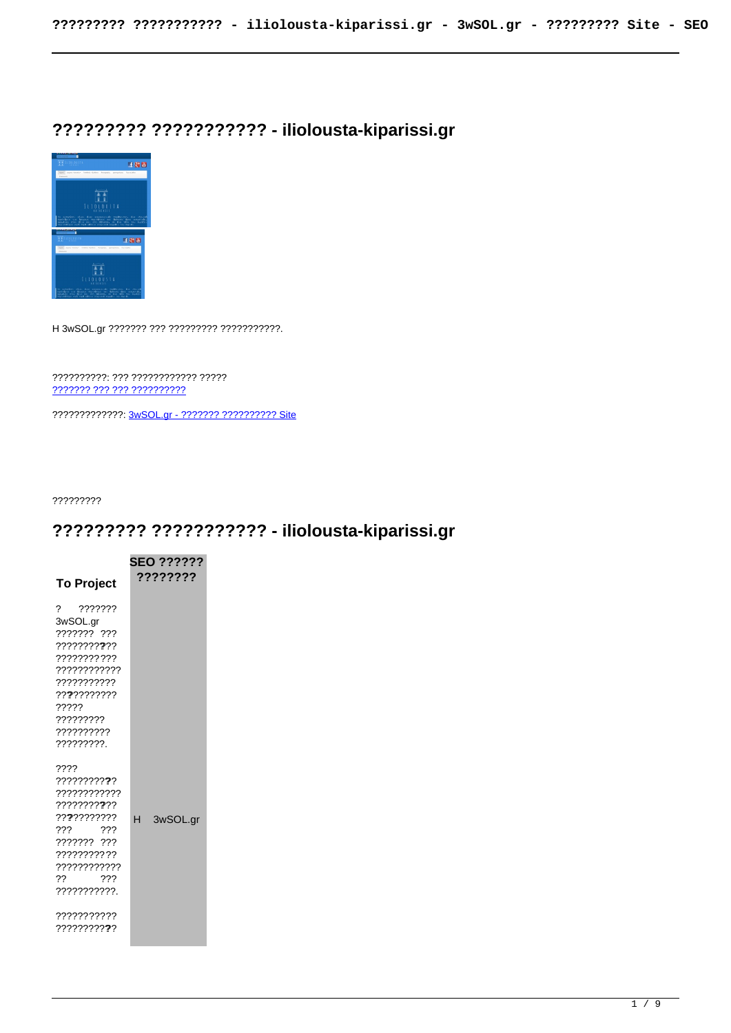## ????????? ??????????? - iliolousta-kiparissi.gr



H 3wSOL.gr ??????? ??? ????????? ???????????.

## ?????????? ??? ???????????? ????? ??????? ??? ??? ???????????

?????????????: 3wSOL.gr - ??????? ?????????? Site

?????????

## ???????? ??????????? - iliolousta-kiparissi.gr

|                                                                                                                                                                                                                                                                                          | SEO ??????     |  |
|------------------------------------------------------------------------------------------------------------------------------------------------------------------------------------------------------------------------------------------------------------------------------------------|----------------|--|
| <b>To Project</b>                                                                                                                                                                                                                                                                        | ????????       |  |
| ?  ?? ?? ??<br>3wSOL.gr<br>??????? ???<br>???????????<br>77777777777<br>????????????<br>7777777777<br>7777777777<br>77777<br>?????????                                                                                                                                                   |                |  |
| ??????????<br>777777777<br>????<br>77777777 <b>7</b> 7<br>????????????<br>???????????<br>7777777777<br><b>222 The Strip Strip Strip Strip Strip Strip Strip Strip Strip Strip Strip Strip Strip Strip Strip Strip Strip </b><br>???<br>??????? ???<br>77777777777<br>????????????<br>777 | н.<br>3wSOL.gr |  |
| 7777777777<br>???????????<br>???????? <b>??</b> ?                                                                                                                                                                                                                                        |                |  |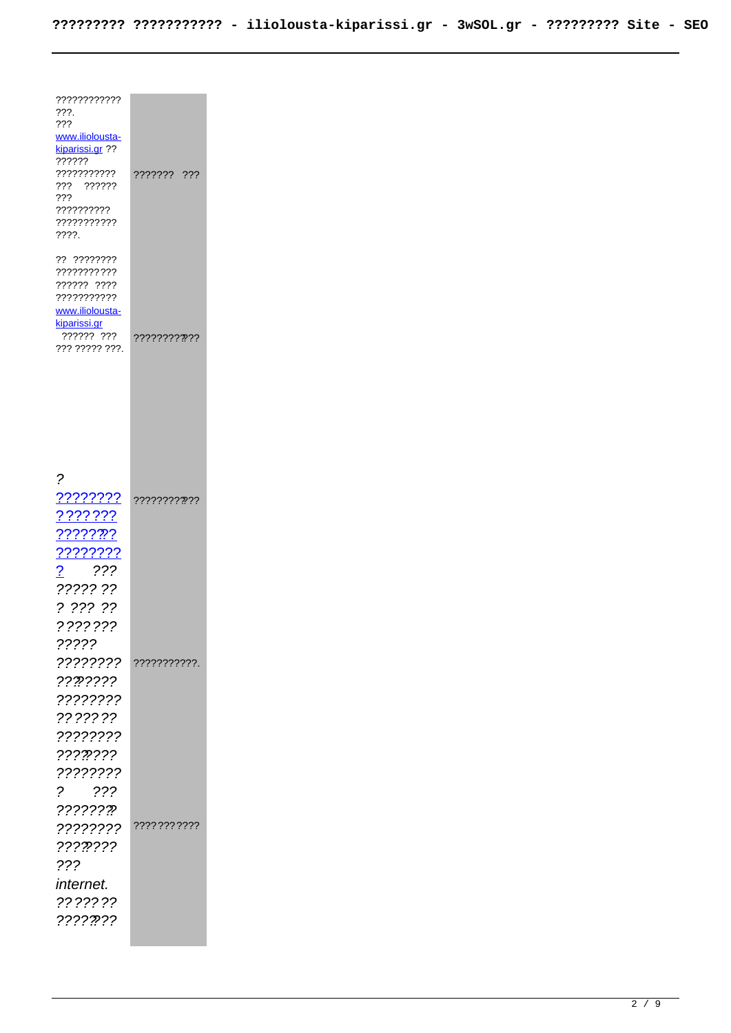| ????????????<br>???.<br>???<br><u>www.iliolousta-</u><br>kiparissi.gr ??<br>??????<br>???????????<br>???<br>??????<br>???<br>??????????<br>???????????<br>$??\,?\.$<br>?? ????????<br>??????????? | ???????<br>??? |  |
|---------------------------------------------------------------------------------------------------------------------------------------------------------------------------------------------------|----------------|--|
| ?????? ????<br>???????????<br>www.iliolousta-<br>kiparissi.gr<br>?????? ???<br>??? ????? ???.                                                                                                     | ????????????   |  |
| $\tilde{?}$<br><u>????????</u><br>???????<br><u>????????</u><br><u>????????</u><br>$\overline{?}$<br>???<br>????? ??<br>? ? ? ? ? ?                                                               | ????????????   |  |
| ???????<br>?????<br>????????<br>???????<br>????????<br>???????<br>????????<br>???????<br>????????                                                                                                 | ???????????.   |  |
| $\overline{P}$<br>???<br>????????<br>????????<br>2222222<br>???<br>internet.<br>???????<br>???????                                                                                                | ???????????    |  |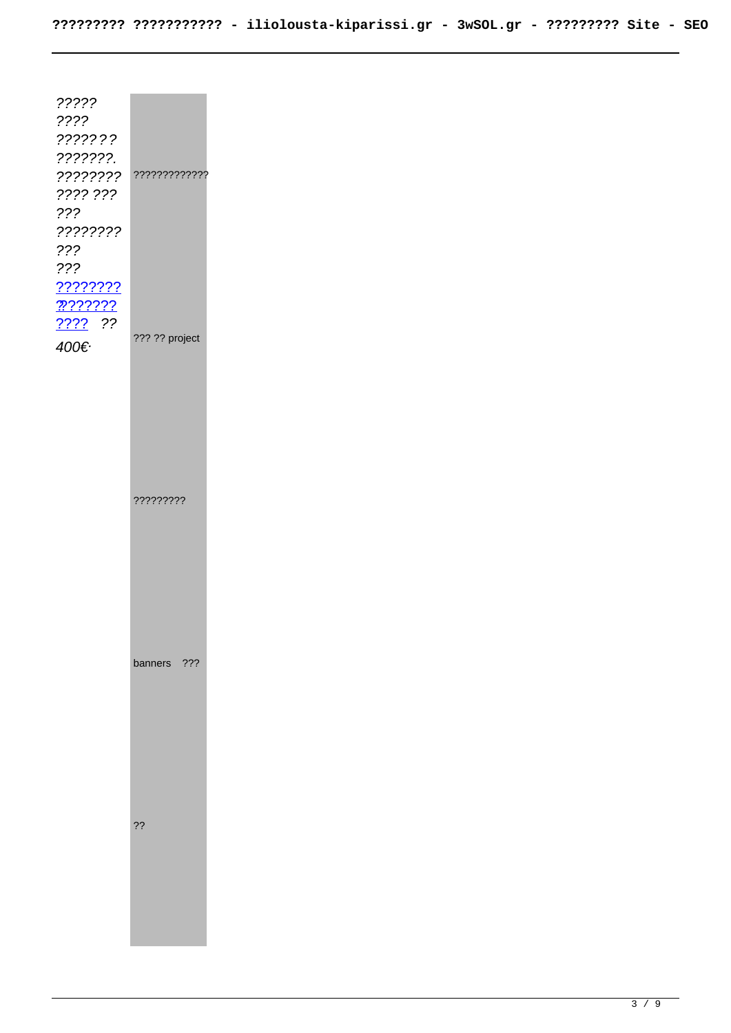| ?????<br>????<br>???????<br>???????.<br>????????<br>???? ???<br>???<br>????????<br>??? | ?????????????  |  |
|----------------------------------------------------------------------------------------|----------------|--|
| ???<br>????????<br><u> ????????</u><br>400€                                            | ??? ?? project |  |
|                                                                                        | ?????????      |  |
|                                                                                        | banners<br>??? |  |
|                                                                                        | ??             |  |
|                                                                                        |                |  |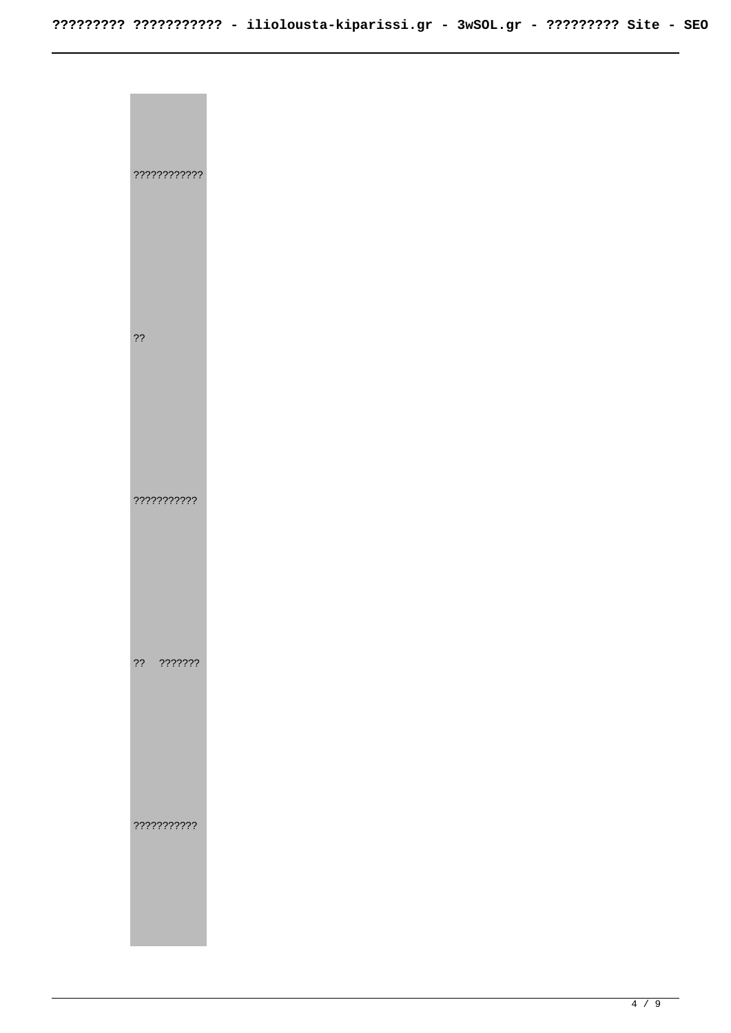| ???????????? |  |  |
|--------------|--|--|
| ??           |  |  |
| ???????????  |  |  |
| ?? ???????   |  |  |
| ???????????  |  |  |
|              |  |  |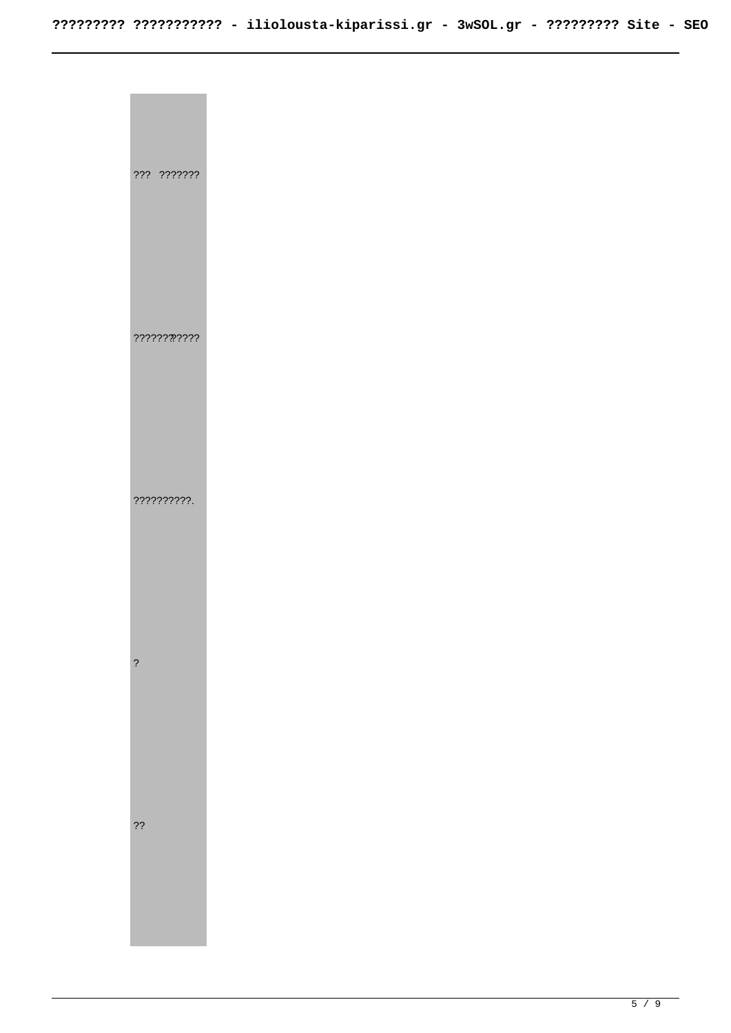| ??? ???????       |  |
|-------------------|--|
| ????????????      |  |
| ??????????.       |  |
| $\ddot{\text{?}}$ |  |
| ??                |  |
|                   |  |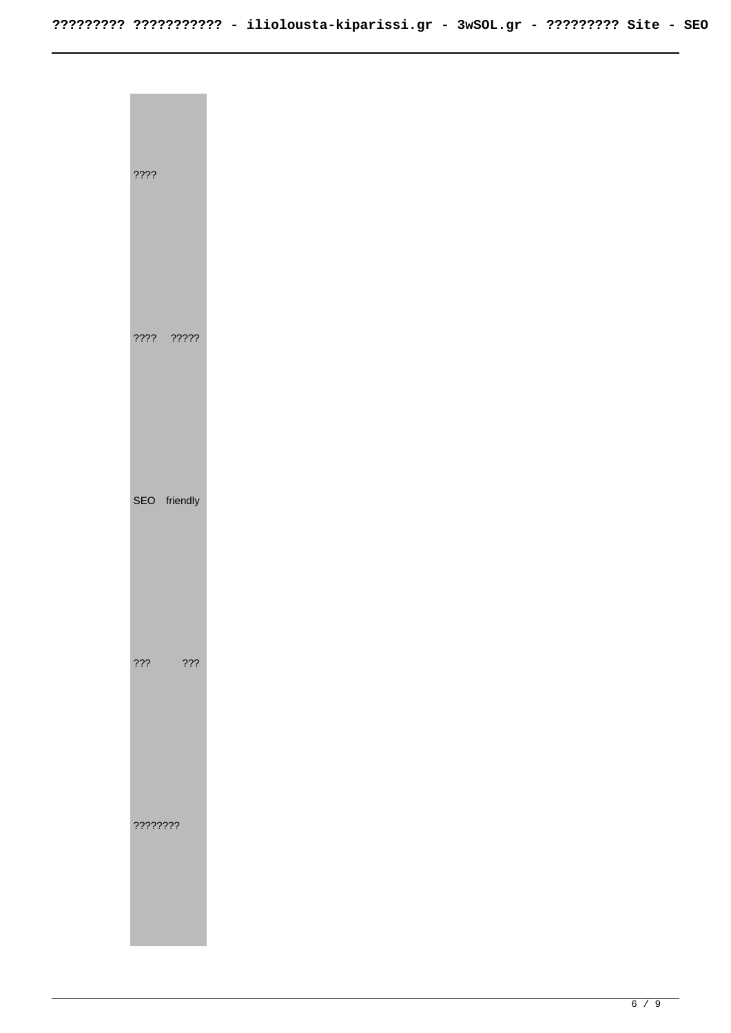| ????          |  |  |
|---------------|--|--|
| ???? ?????    |  |  |
| SEO friendly  |  |  |
| ???<br>$?$ ?? |  |  |
| ????????      |  |  |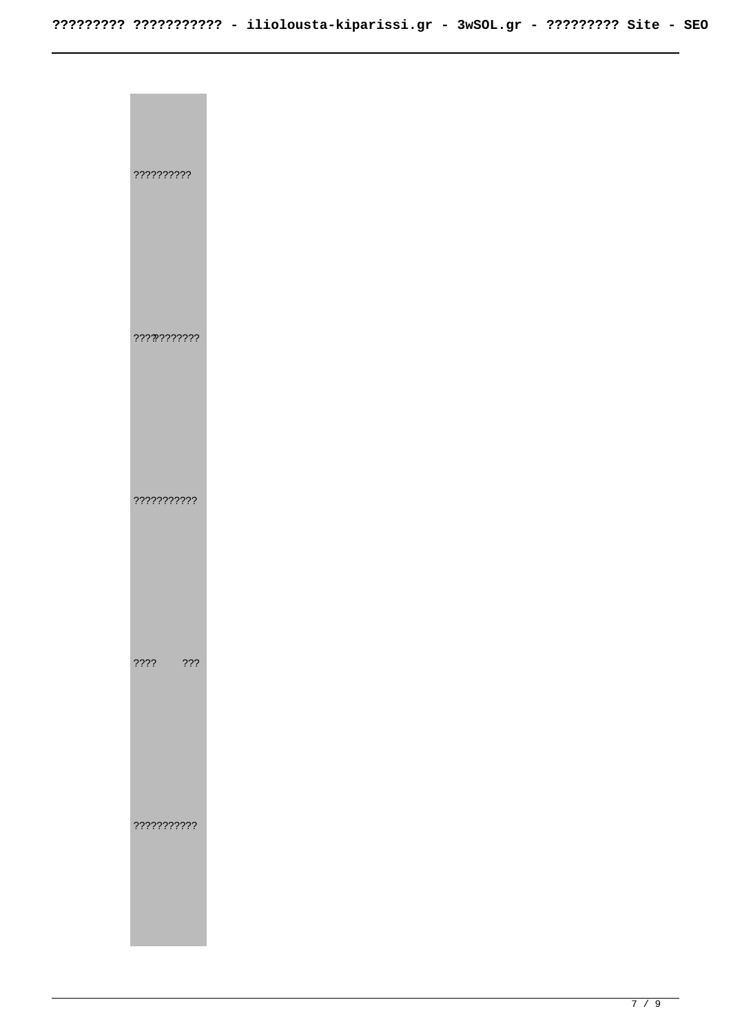| ??????????     |  |
|----------------|--|
| ???????????    |  |
| ???????????    |  |
| ????<br>$?$ ?? |  |
| ???????????    |  |
|                |  |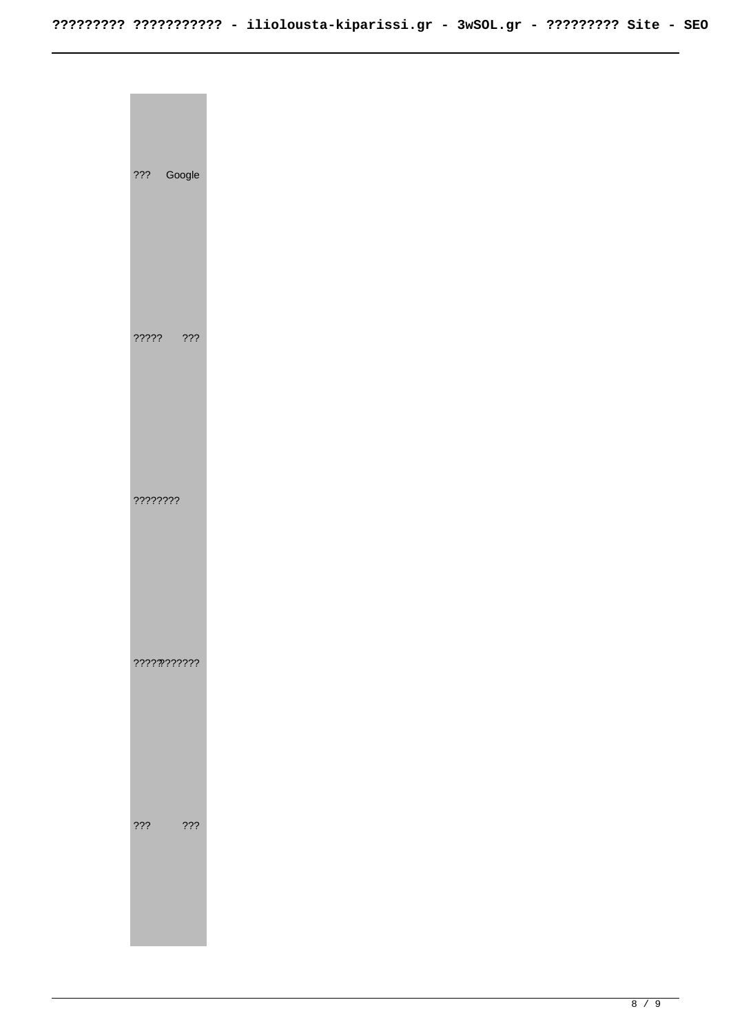| ???<br>Google    |  |
|------------------|--|
| ?????<br>?       |  |
| ????????         |  |
| ???????????      |  |
| $?$ ??<br>$?$ ?? |  |